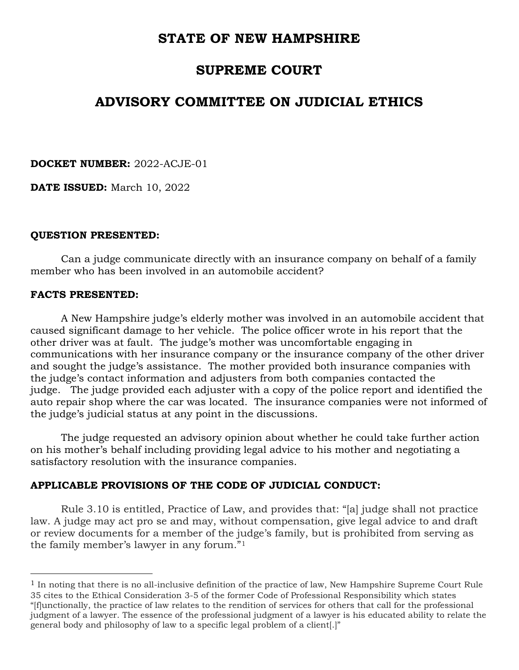# STATE OF NEW HAMPSHIRE

# SUPREME COURT

# ADVISORY COMMITTEE ON JUDICIAL ETHICS

DOCKET NUMBER: 2022-ACJE-01

DATE ISSUED: March 10, 2022

### QUESTION PRESENTED:

 Can a judge communicate directly with an insurance company on behalf of a family member who has been involved in an automobile accident?

#### FACTS PRESENTED:

 $\overline{a}$ 

 A New Hampshire judge's elderly mother was involved in an automobile accident that caused significant damage to her vehicle. The police officer wrote in his report that the other driver was at fault. The judge's mother was uncomfortable engaging in communications with her insurance company or the insurance company of the other driver and sought the judge's assistance. The mother provided both insurance companies with the judge's contact information and adjusters from both companies contacted the judge. The judge provided each adjuster with a copy of the police report and identified the auto repair shop where the car was located. The insurance companies were not informed of the judge's judicial status at any point in the discussions.

 The judge requested an advisory opinion about whether he could take further action on his mother's behalf including providing legal advice to his mother and negotiating a satisfactory resolution with the insurance companies.

### APPLICABLE PROVISIONS OF THE CODE OF JUDICIAL CONDUCT:

Rule 3.10 is entitled, Practice of Law, and provides that: "[a] judge shall not practice law. A judge may act pro se and may, without compensation, give legal advice to and draft or review documents for a member of the judge's family, but is prohibited from serving as the family member's lawyer in any forum."<sup>1</sup>

 $<sup>1</sup>$  In noting that there is no all-inclusive definition of the practice of law, New Hampshire Supreme Court Rule</sup> 35 cites to the Ethical Consideration 3-5 of the former Code of Professional Responsibility which states "[f]unctionally, the practice of law relates to the rendition of services for others that call for the professional judgment of a lawyer. The essence of the professional judgment of a lawyer is his educated ability to relate the general body and philosophy of law to a specific legal problem of a client[.]"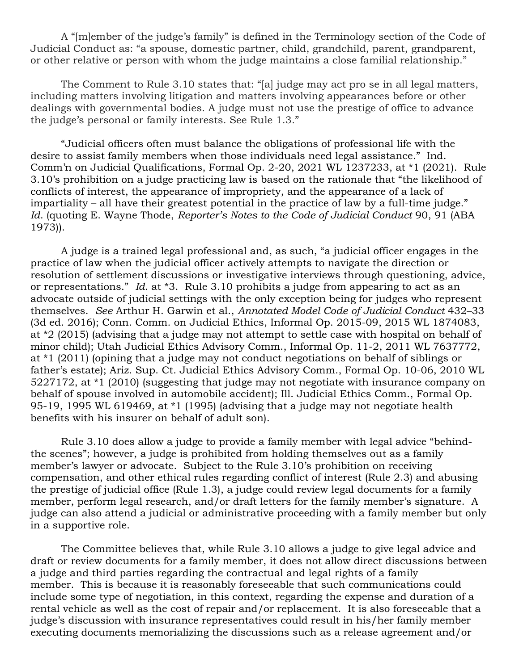A "[m]ember of the judge's family" is defined in the Terminology section of the Code of Judicial Conduct as: "a spouse, domestic partner, child, grandchild, parent, grandparent, or other relative or person with whom the judge maintains a close familial relationship."

 The Comment to Rule 3.10 states that: "[a] judge may act pro se in all legal matters, including matters involving litigation and matters involving appearances before or other dealings with governmental bodies. A judge must not use the prestige of office to advance the judge's personal or family interests. See Rule 1.3."

 "Judicial officers often must balance the obligations of professional life with the desire to assist family members when those individuals need legal assistance." Ind. Comm'n on Judicial Qualifications, Formal Op. 2-20, 2021 WL 1237233, at \*1 (2021). Rule 3.10's prohibition on a judge practicing law is based on the rationale that "the likelihood of conflicts of interest, the appearance of impropriety, and the appearance of a lack of impartiality – all have their greatest potential in the practice of law by a full-time judge." Id. (quoting E. Wayne Thode, Reporter's Notes to the Code of Judicial Conduct 90, 91 (ABA 1973)).

 A judge is a trained legal professional and, as such, "a judicial officer engages in the practice of law when the judicial officer actively attempts to navigate the direction or resolution of settlement discussions or investigative interviews through questioning, advice, or representations." Id. at \*3. Rule 3.10 prohibits a judge from appearing to act as an advocate outside of judicial settings with the only exception being for judges who represent themselves. See Arthur H. Garwin et al., Annotated Model Code of Judicial Conduct 432–33 (3d ed. 2016); Conn. Comm. on Judicial Ethics, Informal Op. 2015-09, 2015 WL 1874083, at \*2 (2015) (advising that a judge may not attempt to settle case with hospital on behalf of minor child); Utah Judicial Ethics Advisory Comm., Informal Op. 11-2, 2011 WL 7637772, at \*1 (2011) (opining that a judge may not conduct negotiations on behalf of siblings or father's estate); Ariz. Sup. Ct. Judicial Ethics Advisory Comm., Formal Op. 10-06, 2010 WL 5227172, at \*1 (2010) (suggesting that judge may not negotiate with insurance company on behalf of spouse involved in automobile accident); Ill. Judicial Ethics Comm., Formal Op. 95-19, 1995 WL 619469, at \*1 (1995) (advising that a judge may not negotiate health benefits with his insurer on behalf of adult son).

 Rule 3.10 does allow a judge to provide a family member with legal advice "behindthe scenes"; however, a judge is prohibited from holding themselves out as a family member's lawyer or advocate. Subject to the Rule 3.10's prohibition on receiving compensation, and other ethical rules regarding conflict of interest (Rule 2.3) and abusing the prestige of judicial office (Rule 1.3), a judge could review legal documents for a family member, perform legal research, and/or draft letters for the family member's signature. A judge can also attend a judicial or administrative proceeding with a family member but only in a supportive role.

 The Committee believes that, while Rule 3.10 allows a judge to give legal advice and draft or review documents for a family member, it does not allow direct discussions between a judge and third parties regarding the contractual and legal rights of a family member. This is because it is reasonably foreseeable that such communications could include some type of negotiation, in this context, regarding the expense and duration of a rental vehicle as well as the cost of repair and/or replacement. It is also foreseeable that a judge's discussion with insurance representatives could result in his/her family member executing documents memorializing the discussions such as a release agreement and/or